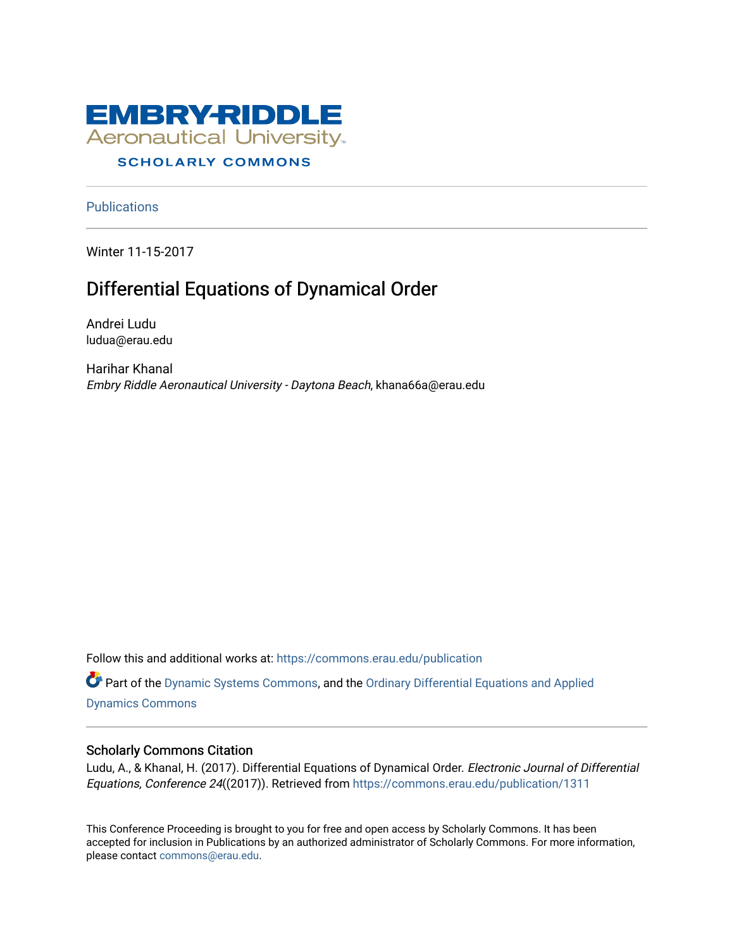

**Publications** 

Winter 11-15-2017

# Differential Equations of Dynamical Order

Andrei Ludu ludua@erau.edu

Harihar Khanal Embry Riddle Aeronautical University - Daytona Beach, khana66a@erau.edu

Follow this and additional works at: [https://commons.erau.edu/publication](https://commons.erau.edu/publication?utm_source=commons.erau.edu%2Fpublication%2F1311&utm_medium=PDF&utm_campaign=PDFCoverPages) 

Part of the [Dynamic Systems Commons](http://network.bepress.com/hgg/discipline/117?utm_source=commons.erau.edu%2Fpublication%2F1311&utm_medium=PDF&utm_campaign=PDFCoverPages), and the [Ordinary Differential Equations and Applied](http://network.bepress.com/hgg/discipline/121?utm_source=commons.erau.edu%2Fpublication%2F1311&utm_medium=PDF&utm_campaign=PDFCoverPages)  [Dynamics Commons](http://network.bepress.com/hgg/discipline/121?utm_source=commons.erau.edu%2Fpublication%2F1311&utm_medium=PDF&utm_campaign=PDFCoverPages)

## Scholarly Commons Citation

Ludu, A., & Khanal, H. (2017). Differential Equations of Dynamical Order. Electronic Journal of Differential Equations, Conference 24((2017)). Retrieved from [https://commons.erau.edu/publication/1311](https://commons.erau.edu/publication/1311?utm_source=commons.erau.edu%2Fpublication%2F1311&utm_medium=PDF&utm_campaign=PDFCoverPages) 

This Conference Proceeding is brought to you for free and open access by Scholarly Commons. It has been accepted for inclusion in Publications by an authorized administrator of Scholarly Commons. For more information, please contact [commons@erau.edu](mailto:commons@erau.edu).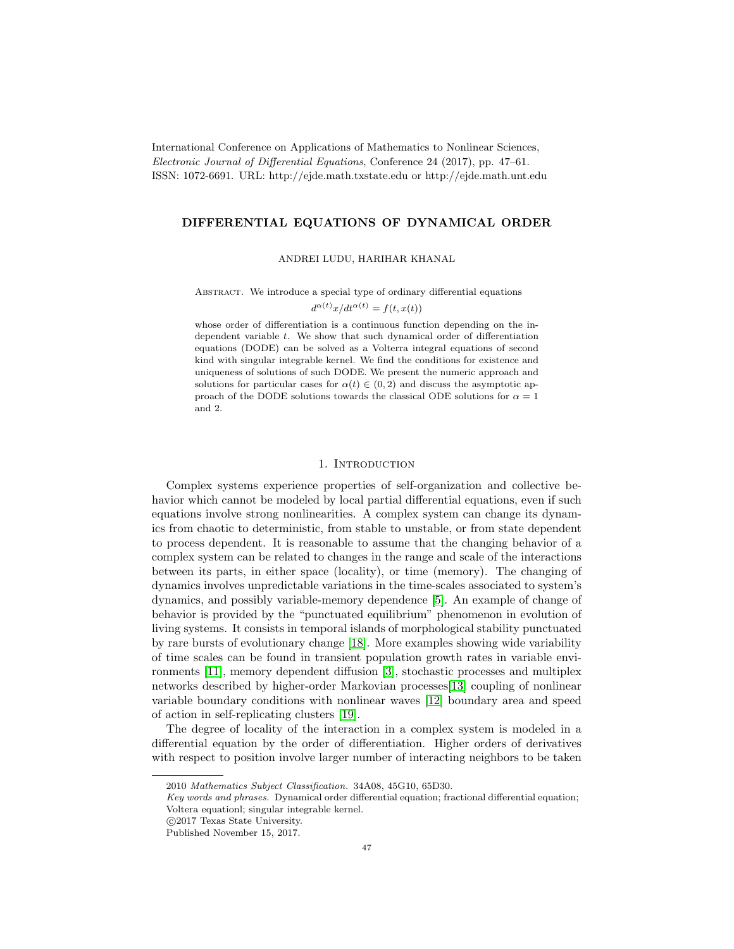International Conference on Applications of Mathematics to Nonlinear Sciences, Electronic Journal of Differential Equations, Conference 24 (2017), pp. 47–61. ISSN: 1072-6691. URL: http://ejde.math.txstate.edu or http://ejde.math.unt.edu

#### DIFFERENTIAL EQUATIONS OF DYNAMICAL ORDER

ANDREI LUDU, HARIHAR KHANAL

ABSTRACT. We introduce a special type of ordinary differential equations

 $d^{\alpha(t)}x/dt^{\alpha(t)} = f(t,x(t))$ 

whose order of differentiation is a continuous function depending on the independent variable t. We show that such dynamical order of differentiation equations (DODE) can be solved as a Volterra integral equations of second kind with singular integrable kernel. We find the conditions for existence and uniqueness of solutions of such DODE. We present the numeric approach and solutions for particular cases for  $\alpha(t) \in (0, 2)$  and discuss the asymptotic approach of the DODE solutions towards the classical ODE solutions for  $\alpha = 1$ and 2.

#### 1. Introduction

Complex systems experience properties of self-organization and collective behavior which cannot be modeled by local partial differential equations, even if such equations involve strong nonlinearities. A complex system can change its dynamics from chaotic to deterministic, from stable to unstable, or from state dependent to process dependent. It is reasonable to assume that the changing behavior of a complex system can be related to changes in the range and scale of the interactions between its parts, in either space (locality), or time (memory). The changing of dynamics involves unpredictable variations in the time-scales associated to system's dynamics, and possibly variable-memory dependence [\[5\]](#page-15-0). An example of change of behavior is provided by the "punctuated equilibrium" phenomenon in evolution of living systems. It consists in temporal islands of morphological stability punctuated by rare bursts of evolutionary change [\[18\]](#page-15-1). More examples showing wide variability of time scales can be found in transient population growth rates in variable environments [\[11\]](#page-15-2), memory dependent diffusion [\[3\]](#page-14-0), stochastic processes and multiplex networks described by higher-order Markovian processes[\[13\]](#page-15-3) coupling of nonlinear variable boundary conditions with nonlinear waves [\[12\]](#page-15-4) boundary area and speed of action in self-replicating clusters [\[19\]](#page-15-5).

The degree of locality of the interaction in a complex system is modeled in a differential equation by the order of differentiation. Higher orders of derivatives with respect to position involve larger number of interacting neighbors to be taken

<sup>2010</sup> Mathematics Subject Classification. 34A08, 45G10, 65D30.

Key words and phrases. Dynamical order differential equation; fractional differential equation; Voltera equationl; singular integrable kernel.

c 2017 Texas State University.

Published November 15, 2017.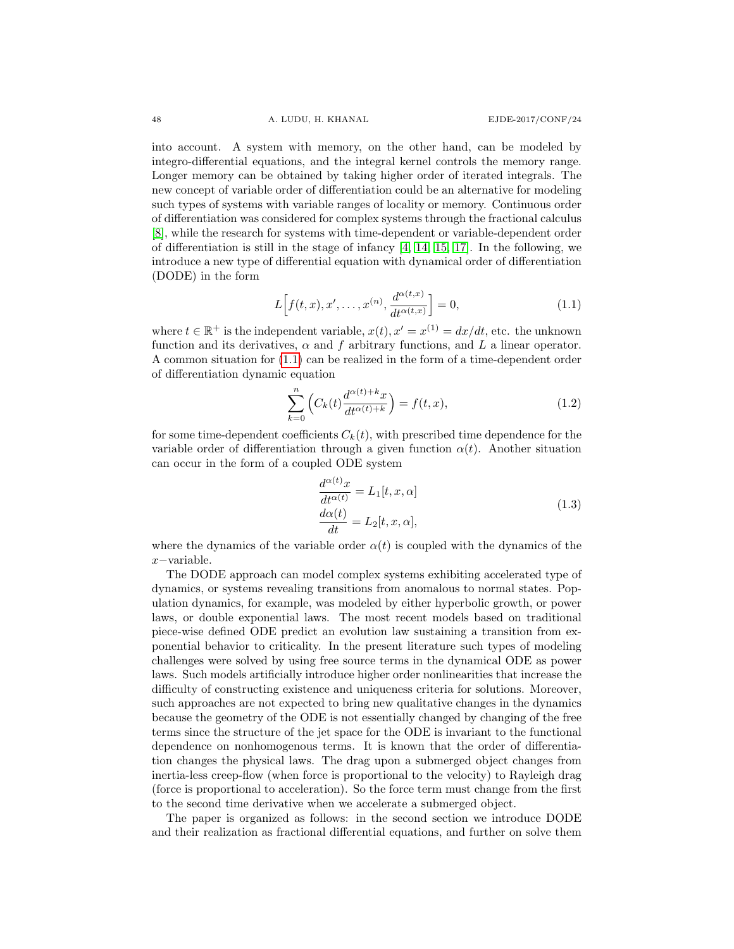into account. A system with memory, on the other hand, can be modeled by integro-differential equations, and the integral kernel controls the memory range. Longer memory can be obtained by taking higher order of iterated integrals. The new concept of variable order of differentiation could be an alternative for modeling such types of systems with variable ranges of locality or memory. Continuous order of differentiation was considered for complex systems through the fractional calculus [\[8\]](#page-15-6), while the research for systems with time-dependent or variable-dependent order of differentiation is still in the stage of infancy  $[4, 14, 15, 17]$  $[4, 14, 15, 17]$  $[4, 14, 15, 17]$  $[4, 14, 15, 17]$ . In the following, we introduce a new type of differential equation with dynamical order of differentiation (DODE) in the form

<span id="page-2-0"></span>
$$
L\Big[f(t,x),x',\ldots,x^{(n)},\frac{d^{\alpha(t,x)}}{dt^{\alpha(t,x)}}\Big] = 0,
$$
\n(1.1)

where  $t \in \mathbb{R}^+$  is the independent variable,  $x(t)$ ,  $x' = x^{(1)} = dx/dt$ , etc. the unknown function and its derivatives,  $\alpha$  and f arbitrary functions, and L a linear operator. A common situation for [\(1.1\)](#page-2-0) can be realized in the form of a time-dependent order of differentiation dynamic equation

$$
\sum_{k=0}^{n} \left( C_k(t) \frac{d^{\alpha(t)+k} x}{dt^{\alpha(t)+k}} \right) = f(t, x), \tag{1.2}
$$

for some time-dependent coefficients  $C_k(t)$ , with prescribed time dependence for the variable order of differentiation through a given function  $\alpha(t)$ . Another situation can occur in the form of a coupled ODE system

$$
\frac{d^{\alpha(t)}x}{dt^{\alpha(t)}} = L_1[t, x, \alpha] \n\frac{d\alpha(t)}{dt} = L_2[t, x, \alpha],
$$
\n(1.3)

where the dynamics of the variable order  $\alpha(t)$  is coupled with the dynamics of the x−variable.

The DODE approach can model complex systems exhibiting accelerated type of dynamics, or systems revealing transitions from anomalous to normal states. Population dynamics, for example, was modeled by either hyperbolic growth, or power laws, or double exponential laws. The most recent models based on traditional piece-wise defined ODE predict an evolution law sustaining a transition from exponential behavior to criticality. In the present literature such types of modeling challenges were solved by using free source terms in the dynamical ODE as power laws. Such models artificially introduce higher order nonlinearities that increase the difficulty of constructing existence and uniqueness criteria for solutions. Moreover, such approaches are not expected to bring new qualitative changes in the dynamics because the geometry of the ODE is not essentially changed by changing of the free terms since the structure of the jet space for the ODE is invariant to the functional dependence on nonhomogenous terms. It is known that the order of differentiation changes the physical laws. The drag upon a submerged object changes from inertia-less creep-flow (when force is proportional to the velocity) to Rayleigh drag (force is proportional to acceleration). So the force term must change from the first to the second time derivative when we accelerate a submerged object.

The paper is organized as follows: in the second section we introduce DODE and their realization as fractional differential equations, and further on solve them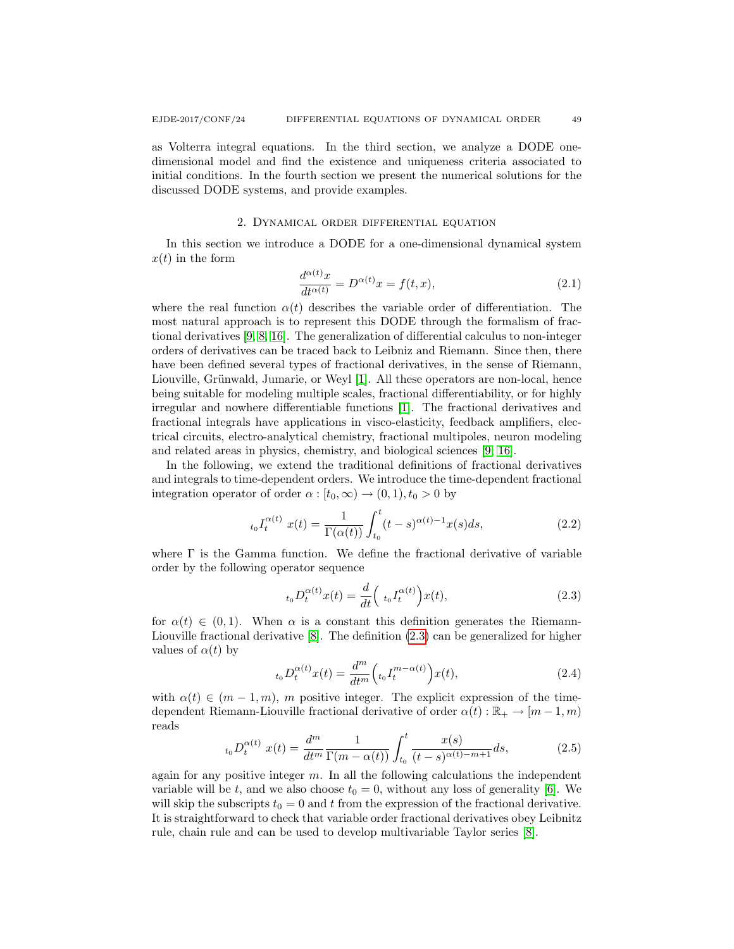as Volterra integral equations. In the third section, we analyze a DODE onedimensional model and find the existence and uniqueness criteria associated to initial conditions. In the fourth section we present the numerical solutions for the discussed DODE systems, and provide examples.

#### 2. Dynamical order differential equation

In this section we introduce a DODE for a one-dimensional dynamical system  $x(t)$  in the form

$$
\frac{d^{\alpha(t)}x}{dt^{\alpha(t)}} = D^{\alpha(t)}x = f(t, x),\tag{2.1}
$$

where the real function  $\alpha(t)$  describes the variable order of differentiation. The most natural approach is to represent this DODE through the formalism of fractional derivatives [\[9,](#page-15-11) [8,](#page-15-6) [16\]](#page-15-12). The generalization of differential calculus to non-integer orders of derivatives can be traced back to Leibniz and Riemann. Since then, there have been defined several types of fractional derivatives, in the sense of Riemann, Liouville, Grünwald, Jumarie, or Weyl [\[1\]](#page-14-1). All these operators are non-local, hence being suitable for modeling multiple scales, fractional differentiability, or for highly irregular and nowhere differentiable functions [\[1\]](#page-14-1). The fractional derivatives and fractional integrals have applications in visco-elasticity, feedback amplifiers, electrical circuits, electro-analytical chemistry, fractional multipoles, neuron modeling and related areas in physics, chemistry, and biological sciences [\[9,](#page-15-11) [16\]](#page-15-12).

In the following, we extend the traditional definitions of fractional derivatives and integrals to time-dependent orders. We introduce the time-dependent fractional integration operator of order  $\alpha : [t_0, \infty) \to (0, 1), t_0 > 0$  by

$$
t_0 I_t^{\alpha(t)} x(t) = \frac{1}{\Gamma(\alpha(t))} \int_{t_0}^t (t-s)^{\alpha(t)-1} x(s) ds,
$$
\n(2.2)

where  $\Gamma$  is the Gamma function. We define the fractional derivative of variable order by the following operator sequence

<span id="page-3-0"></span>
$$
t_0 D_t^{\alpha(t)} x(t) = \frac{d}{dt} \left( t_0 I_t^{\alpha(t)} \right) x(t), \qquad (2.3)
$$

for  $\alpha(t) \in (0,1)$ . When  $\alpha$  is a constant this definition generates the Riemann-Liouville fractional derivative [\[8\]](#page-15-6). The definition [\(2.3\)](#page-3-0) can be generalized for higher values of  $\alpha(t)$  by

<span id="page-3-2"></span>
$$
{}_{t_0}D_t^{\alpha(t)}x(t) = \frac{d^m}{dt^m} \Big( {}_{t_0}I_t^{m-\alpha(t)} \Big) x(t), \tag{2.4}
$$

with  $\alpha(t) \in (m-1,m)$ , m positive integer. The explicit expression of the timedependent Riemann-Liouville fractional derivative of order  $\alpha(t): \mathbb{R}_+ \to [m-1, m)$ reads

<span id="page-3-1"></span>
$$
{}_{t_0}D_t^{\alpha(t)}\ x(t) = \frac{d^m}{dt^m} \frac{1}{\Gamma(m - \alpha(t))} \int_{t_0}^t \frac{x(s)}{(t - s)^{\alpha(t) - m + 1}} ds,\tag{2.5}
$$

again for any positive integer  $m$ . In all the following calculations the independent variable will be t, and we also choose  $t_0 = 0$ , without any loss of generality [\[6\]](#page-15-13). We will skip the subscripts  $t_0 = 0$  and t from the expression of the fractional derivative. It is straightforward to check that variable order fractional derivatives obey Leibnitz rule, chain rule and can be used to develop multivariable Taylor series [\[8\]](#page-15-6).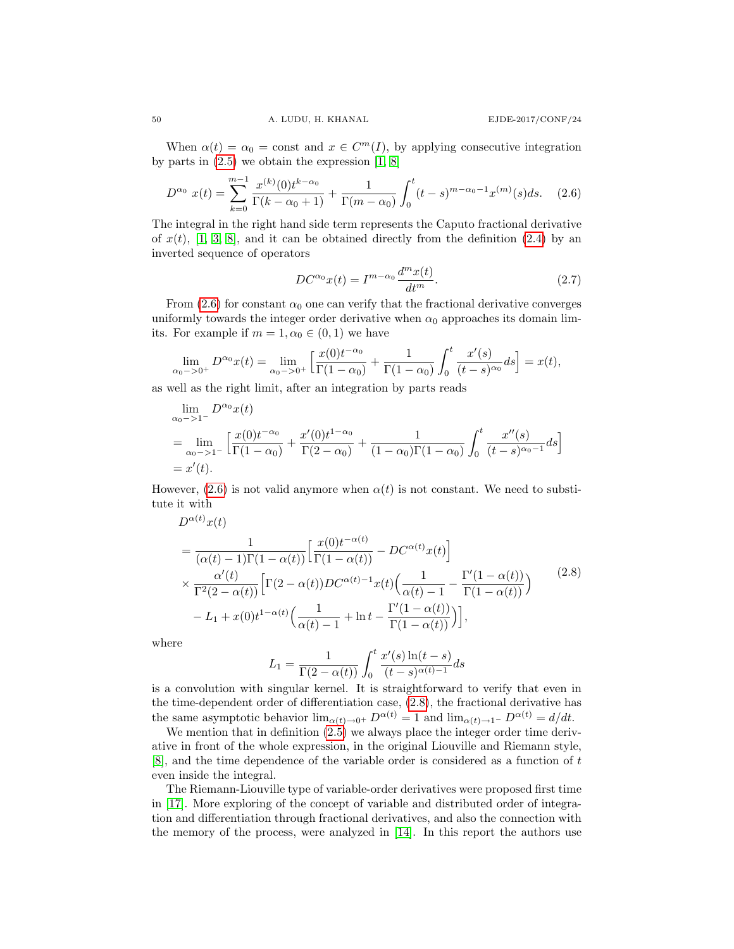When  $\alpha(t) = \alpha_0$  = const and  $x \in C^m(I)$ , by applying consecutive integration by parts in  $(2.5)$  we obtain the expression  $[1, 8]$  $[1, 8]$ 

<span id="page-4-0"></span>
$$
D^{\alpha_0} x(t) = \sum_{k=0}^{m-1} \frac{x^{(k)}(0)t^{k-\alpha_0}}{\Gamma(k-\alpha_0+1)} + \frac{1}{\Gamma(m-\alpha_0)} \int_0^t (t-s)^{m-\alpha_0-1} x^{(m)}(s) ds. \quad (2.6)
$$

The integral in the right hand side term represents the Caputo fractional derivative of  $x(t)$ , [\[1,](#page-14-1) [3,](#page-14-0) [8\]](#page-15-6), and it can be obtained directly from the definition [\(2.4\)](#page-3-2) by an inverted sequence of operators

$$
DC^{\alpha_0}x(t) = I^{m-\alpha_0}\frac{d^m x(t)}{dt^m}.
$$
\n(2.7)

From [\(2.6\)](#page-4-0) for constant  $\alpha_0$  one can verify that the fractional derivative converges uniformly towards the integer order derivative when  $\alpha_0$  approaches its domain limits. For example if  $m = 1, \alpha_0 \in (0, 1)$  we have

$$
\lim_{\alpha_0 \to 0^+} D^{\alpha_0} x(t) = \lim_{\alpha_0 \to 0^+} \left[ \frac{x(0)t^{-\alpha_0}}{\Gamma(1-\alpha_0)} + \frac{1}{\Gamma(1-\alpha_0)} \int_0^t \frac{x'(s)}{(t-s)^{\alpha_0}} ds \right] = x(t),
$$

as well as the right limit, after an integration by parts reads

$$
\lim_{\alpha_0 \to 1^-} D^{\alpha_0} x(t)
$$
\n
$$
= \lim_{\alpha_0 \to 1^-} \left[ \frac{x(0)t^{-\alpha_0}}{\Gamma(1-\alpha_0)} + \frac{x'(0)t^{1-\alpha_0}}{\Gamma(2-\alpha_0)} + \frac{1}{(1-\alpha_0)\Gamma(1-\alpha_0)} \int_0^t \frac{x''(s)}{(t-s)^{\alpha_0-1}} ds \right]
$$
\n
$$
= x'(t).
$$

However,  $(2.6)$  is not valid anymore when  $\alpha(t)$  is not constant. We need to substitute it with

<span id="page-4-1"></span>
$$
D^{\alpha(t)}x(t)
$$
\n
$$
= \frac{1}{(\alpha(t)-1)\Gamma(1-\alpha(t))} \left[ \frac{x(0)t^{-\alpha(t)}}{\Gamma(1-\alpha(t))} - DC^{\alpha(t)}x(t) \right]
$$
\n
$$
\times \frac{\alpha'(t)}{\Gamma^2(2-\alpha(t))} \left[ \Gamma(2-\alpha(t))DC^{\alpha(t)-1}x(t) \left( \frac{1}{\alpha(t)-1} - \frac{\Gamma'(1-\alpha(t))}{\Gamma(1-\alpha(t))} \right) - L_1 + x(0)t^{1-\alpha(t)} \left( \frac{1}{\alpha(t)-1} + \ln t - \frac{\Gamma'(1-\alpha(t))}{\Gamma(1-\alpha(t))} \right) \right],
$$
\n(2.8)

where

$$
L_1=\frac{1}{\Gamma(2-\alpha(t))}\int_0^t\frac{x'(s)\ln(t-s)}{(t-s)^{\alpha(t)-1}}ds
$$

is a convolution with singular kernel. It is straightforward to verify that even in the time-dependent order of differentiation case, [\(2.8\)](#page-4-1), the fractional derivative has the same asymptotic behavior  $\lim_{\alpha(t)\to 0^+} D^{\alpha(t)} = 1$  and  $\lim_{\alpha(t)\to 1^-} D^{\alpha(t)} = d/dt$ .

We mention that in definition  $(2.5)$  we always place the integer order time derivative in front of the whole expression, in the original Liouville and Riemann style, [\[8\]](#page-15-6), and the time dependence of the variable order is considered as a function of t even inside the integral.

The Riemann-Liouville type of variable-order derivatives were proposed first time in [\[17\]](#page-15-10). More exploring of the concept of variable and distributed order of integration and differentiation through fractional derivatives, and also the connection with the memory of the process, were analyzed in [\[14\]](#page-15-8). In this report the authors use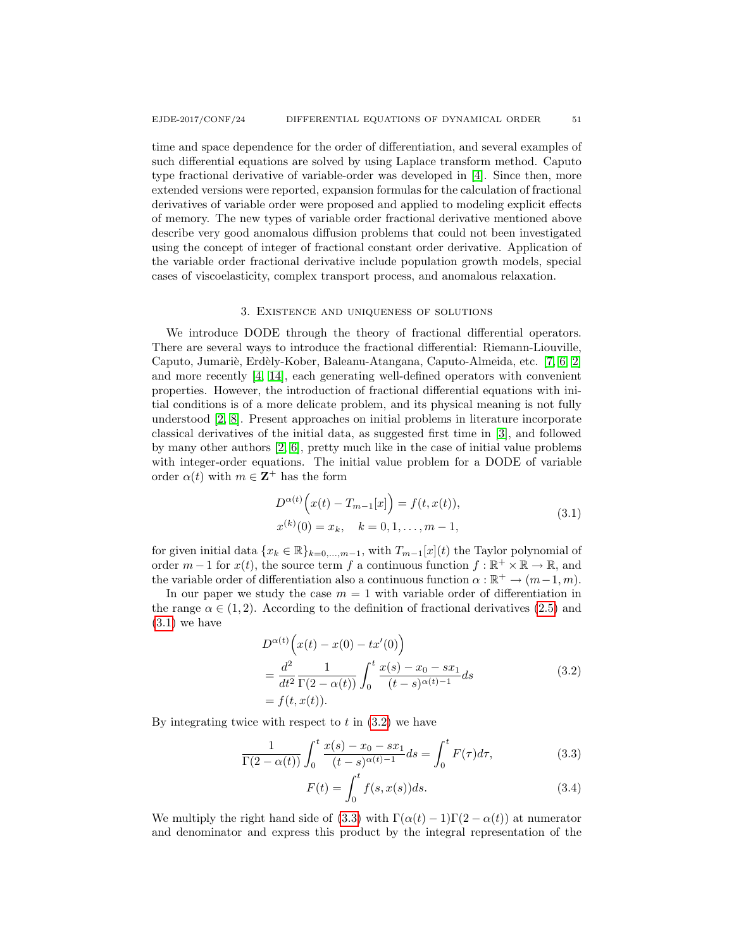time and space dependence for the order of differentiation, and several examples of such differential equations are solved by using Laplace transform method. Caputo type fractional derivative of variable-order was developed in [\[4\]](#page-15-7). Since then, more extended versions were reported, expansion formulas for the calculation of fractional derivatives of variable order were proposed and applied to modeling explicit effects of memory. The new types of variable order fractional derivative mentioned above describe very good anomalous diffusion problems that could not been investigated using the concept of integer of fractional constant order derivative. Application of the variable order fractional derivative include population growth models, special cases of viscoelasticity, complex transport process, and anomalous relaxation.

#### 3. Existence and uniqueness of solutions

We introduce DODE through the theory of fractional differential operators. There are several ways to introduce the fractional differential: Riemann-Liouville, Caputo, Jumariè, Erdèly-Kober, Baleanu-Atangana, Caputo-Almeida, etc. [\[7,](#page-15-14) [6,](#page-15-13) [2\]](#page-14-2) and more recently [\[4,](#page-15-7) [14\]](#page-15-8), each generating well-defined operators with convenient properties. However, the introduction of fractional differential equations with initial conditions is of a more delicate problem, and its physical meaning is not fully understood [\[2,](#page-14-2) [8\]](#page-15-6). Present approaches on initial problems in literature incorporate classical derivatives of the initial data, as suggested first time in [\[3\]](#page-14-0), and followed by many other authors [\[2,](#page-14-2) [6\]](#page-15-13), pretty much like in the case of initial value problems with integer-order equations. The initial value problem for a DODE of variable order  $\alpha(t)$  with  $m \in \mathbb{Z}^+$  has the form

<span id="page-5-0"></span>
$$
D^{\alpha(t)}\left(x(t) - T_{m-1}[x]\right) = f(t, x(t)),
$$
  
\n
$$
x^{(k)}(0) = x_k, \quad k = 0, 1, ..., m-1,
$$
\n(3.1)

for given initial data  $\{x_k \in \mathbb{R}\}_{k=0,\dots,m-1}$ , with  $T_{m-1}[x](t)$  the Taylor polynomial of order  $m-1$  for  $x(t)$ , the source term f a continuous function  $f : \mathbb{R}^+ \times \mathbb{R} \to \mathbb{R}$ , and the variable order of differentiation also a continuous function  $\alpha : \mathbb{R}^+ \to (m-1, m)$ .

In our paper we study the case  $m = 1$  with variable order of differentiation in the range  $\alpha \in (1, 2)$ . According to the definition of fractional derivatives [\(2.5\)](#page-3-1) and  $(3.1)$  we have

<span id="page-5-1"></span>
$$
D^{\alpha(t)}\left(x(t) - x(0) - tx'(0)\right)
$$
  
= 
$$
\frac{d^2}{dt^2} \frac{1}{\Gamma(2 - \alpha(t))} \int_0^t \frac{x(s) - x_0 - sx_1}{(t - s)^{\alpha(t) - 1}} ds
$$
 (3.2)  
= 
$$
f(t, x(t)).
$$

By integrating twice with respect to  $t$  in  $(3.2)$  we have

$$
\frac{1}{\Gamma(2-\alpha(t))} \int_0^t \frac{x(s) - x_0 - sx_1}{(t-s)^{\alpha(t)-1}} ds = \int_0^t F(\tau) d\tau,
$$
\n(3.3)

<span id="page-5-2"></span>
$$
F(t) = \int_0^t f(s, x(s))ds.
$$
 (3.4)

We multiply the right hand side of [\(3.3\)](#page-5-2) with  $\Gamma(\alpha(t) - 1)\Gamma(2 - \alpha(t))$  at numerator and denominator and express this product by the integral representation of the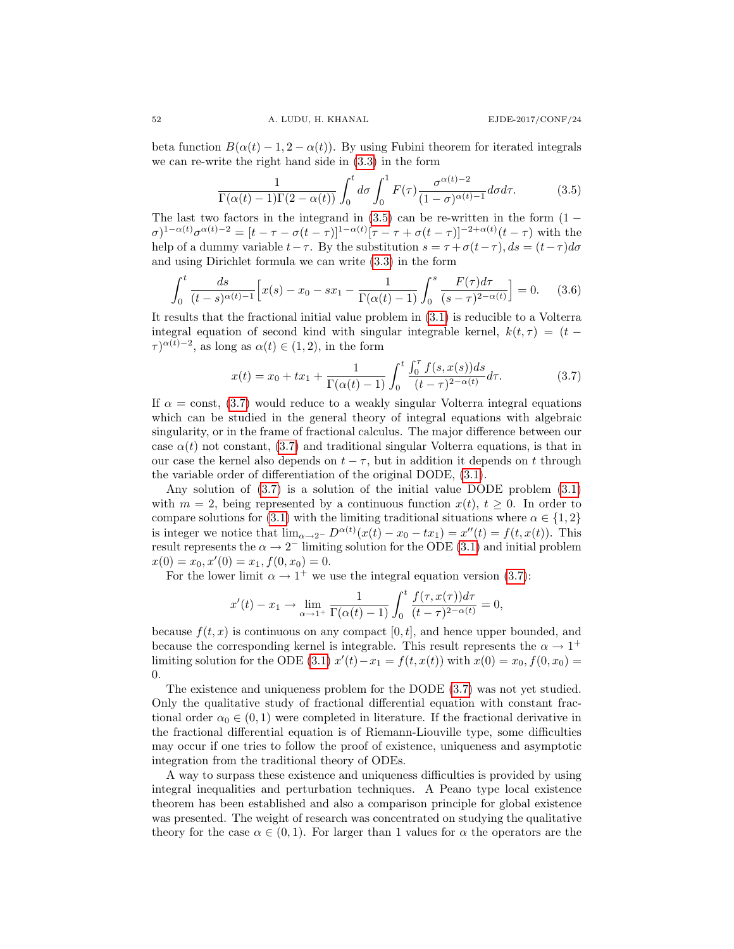beta function  $B(\alpha(t) - 1, 2 - \alpha(t))$ . By using Fubini theorem for iterated integrals we can re-write the right hand side in [\(3.3\)](#page-5-2) in the form

<span id="page-6-0"></span>
$$
\frac{1}{\Gamma(\alpha(t)-1)\Gamma(2-\alpha(t))} \int_0^t d\sigma \int_0^1 F(\tau) \frac{\sigma^{\alpha(t)-2}}{(1-\sigma)^{\alpha(t)-1}} d\sigma d\tau.
$$
 (3.5)

The last two factors in the integrand in  $(3.5)$  can be re-written in the form  $(1 \sigma)^{1-\alpha(t)}\sigma^{\alpha(t)-2} = [t-\tau-\sigma(t-\tau)]^{1-\alpha(t)}[\tau-\tau+\sigma(t-\tau)]^{-2+\alpha(t)}(t-\tau)$  with the help of a dummy variable  $t-\tau$ . By the substitution  $s = \tau + \sigma(t-\tau)$ ,  $ds = (t-\tau)d\sigma$ and using Dirichlet formula we can write [\(3.3\)](#page-5-2) in the form

$$
\int_0^t \frac{ds}{(t-s)^{\alpha(t)-1}} \left[ x(s) - x_0 - sx_1 - \frac{1}{\Gamma(\alpha(t)-1)} \int_0^s \frac{F(\tau) d\tau}{(s-\tau)^{2-\alpha(t)}} \right] = 0. \tag{3.6}
$$

It results that the fractional initial value problem in [\(3.1\)](#page-5-0) is reducible to a Volterra integral equation of second kind with singular integrable kernel,  $k(t, \tau) = (t \tau^{\alpha(t)-2}$ , as long as  $\alpha(t) \in (1,2)$ , in the form

<span id="page-6-1"></span>
$$
x(t) = x_0 + tx_1 + \frac{1}{\Gamma(\alpha(t) - 1)} \int_0^t \frac{\int_0^{\tau} f(s, x(s))ds}{(t - \tau)^{2 - \alpha(t)}} d\tau.
$$
 (3.7)

If  $\alpha$  = const, [\(3.7\)](#page-6-1) would reduce to a weakly singular Volterra integral equations which can be studied in the general theory of integral equations with algebraic singularity, or in the frame of fractional calculus. The major difference between our case  $\alpha(t)$  not constant, [\(3.7\)](#page-6-1) and traditional singular Volterra equations, is that in our case the kernel also depends on  $t - \tau$ , but in addition it depends on t through the variable order of differentiation of the original DODE, [\(3.1\)](#page-5-0).

Any solution of [\(3.7\)](#page-6-1) is a solution of the initial value DODE problem [\(3.1\)](#page-5-0) with  $m = 2$ , being represented by a continuous function  $x(t)$ ,  $t \ge 0$ . In order to compare solutions for [\(3.1\)](#page-5-0) with the limiting traditional situations where  $\alpha \in \{1,2\}$ is integer we notice that  $\lim_{\alpha \to 2^-} D^{\alpha(t)}(x(t) - x_0 - tx_1) = x''(t) = f(t, x(t))$ . This result represents the  $\alpha \to 2^-$  limiting solution for the ODE [\(3.1\)](#page-5-0) and initial problem  $x(0) = x_0, x'(0) = x_1, f(0, x_0) = 0.$ 

For the lower limit  $\alpha \to 1^+$  we use the integral equation version [\(3.7\)](#page-6-1):

$$
x'(t) - x_1 \to \lim_{\alpha \to 1^+} \frac{1}{\Gamma(\alpha(t) - 1)} \int_0^t \frac{f(\tau, x(\tau))d\tau}{(t - \tau)^{2 - \alpha(t)}} = 0,
$$

because  $f(t, x)$  is continuous on any compact  $[0, t]$ , and hence upper bounded, and because the corresponding kernel is integrable. This result represents the  $\alpha \to 1^+$ limiting solution for the ODE [\(3.1\)](#page-5-0)  $x'(t) - x_1 = f(t, x(t))$  with  $x(0) = x_0, f(0, x_0) =$ 0.

The existence and uniqueness problem for the DODE [\(3.7\)](#page-6-1) was not yet studied. Only the qualitative study of fractional differential equation with constant fractional order  $\alpha_0 \in (0,1)$  were completed in literature. If the fractional derivative in the fractional differential equation is of Riemann-Liouville type, some difficulties may occur if one tries to follow the proof of existence, uniqueness and asymptotic integration from the traditional theory of ODEs.

A way to surpass these existence and uniqueness difficulties is provided by using integral inequalities and perturbation techniques. A Peano type local existence theorem has been established and also a comparison principle for global existence was presented. The weight of research was concentrated on studying the qualitative theory for the case  $\alpha \in (0,1)$ . For larger than 1 values for  $\alpha$  the operators are the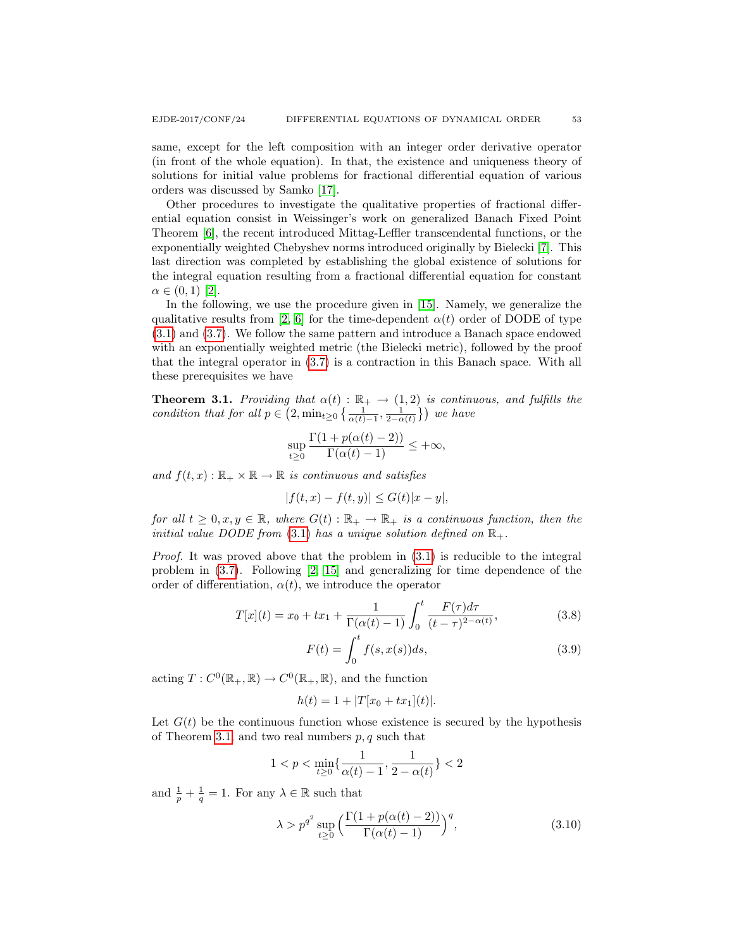same, except for the left composition with an integer order derivative operator (in front of the whole equation). In that, the existence and uniqueness theory of solutions for initial value problems for fractional differential equation of various orders was discussed by Samko [\[17\]](#page-15-10).

Other procedures to investigate the qualitative properties of fractional differential equation consist in Weissinger's work on generalized Banach Fixed Point Theorem [\[6\]](#page-15-13), the recent introduced Mittag-Leffler transcendental functions, or the exponentially weighted Chebyshev norms introduced originally by Bielecki [\[7\]](#page-15-14). This last direction was completed by establishing the global existence of solutions for the integral equation resulting from a fractional differential equation for constant  $\alpha \in (0,1)$  [\[2\]](#page-14-2).

In the following, we use the procedure given in [\[15\]](#page-15-9). Namely, we generalize the qualitative results from [\[2,](#page-14-2) [6\]](#page-15-13) for the time-dependent  $\alpha(t)$  order of DODE of type [\(3.1\)](#page-5-0) and [\(3.7\)](#page-6-1). We follow the same pattern and introduce a Banach space endowed with an exponentially weighted metric (the Bielecki metric), followed by the proof that the integral operator in [\(3.7\)](#page-6-1) is a contraction in this Banach space. With all these prerequisites we have

<span id="page-7-0"></span>**Theorem 3.1.** Providing that  $\alpha(t) : \mathbb{R}_+ \to (1, 2)$  is continuous, and fulfills the condition that for all  $p \in (2, \min_{t \geq 0} {\frac{1}{\alpha(t)-1}, \frac{1}{2-\alpha(t)}})$  we have

$$
\sup_{t\geq 0} \frac{\Gamma(1+p(\alpha(t)-2))}{\Gamma(\alpha(t)-1)} \leq +\infty,
$$

and  $f(t, x): \mathbb{R}_+ \times \mathbb{R} \to \mathbb{R}$  is continuous and satisfies

$$
|f(t, x) - f(t, y)| \le G(t)|x - y|,
$$

for all  $t \geq 0, x, y \in \mathbb{R}$ , where  $G(t): \mathbb{R}_+ \to \mathbb{R}_+$  is a continuous function, then the initial value DODE from [\(3.1\)](#page-5-0) has a unique solution defined on  $\mathbb{R}_+$ .

*Proof.* It was proved above that the problem in  $(3.1)$  is reducible to the integral problem in [\(3.7\)](#page-6-1). Following [\[2,](#page-14-2) [15\]](#page-15-9) and generalizing for time dependence of the order of differentiation,  $\alpha(t)$ , we introduce the operator

$$
T[x](t) = x_0 + tx_1 + \frac{1}{\Gamma(\alpha(t) - 1)} \int_0^t \frac{F(\tau)d\tau}{(t - \tau)^{2 - \alpha(t)}},
$$
\n(3.8)

$$
F(t) = \int_0^t f(s, x(s))ds,
$$
\n(3.9)

acting  $T: C^0(\mathbb{R}_+, \mathbb{R}) \to C^0(\mathbb{R}_+, \mathbb{R})$ , and the function

$$
h(t) = 1 + |T[x_0 + tx_1](t)|.
$$

Let  $G(t)$  be the continuous function whose existence is secured by the hypothesis of Theorem [3.1,](#page-7-0) and two real numbers  $p, q$  such that

$$
1
$$

and  $\frac{1}{p} + \frac{1}{q} = 1$ . For any  $\lambda \in \mathbb{R}$  such that

<span id="page-7-1"></span>
$$
\lambda > p^{q^2} \sup_{t \ge 0} \left( \frac{\Gamma(1 + p(\alpha(t) - 2))}{\Gamma(\alpha(t) - 1)} \right)^q, \tag{3.10}
$$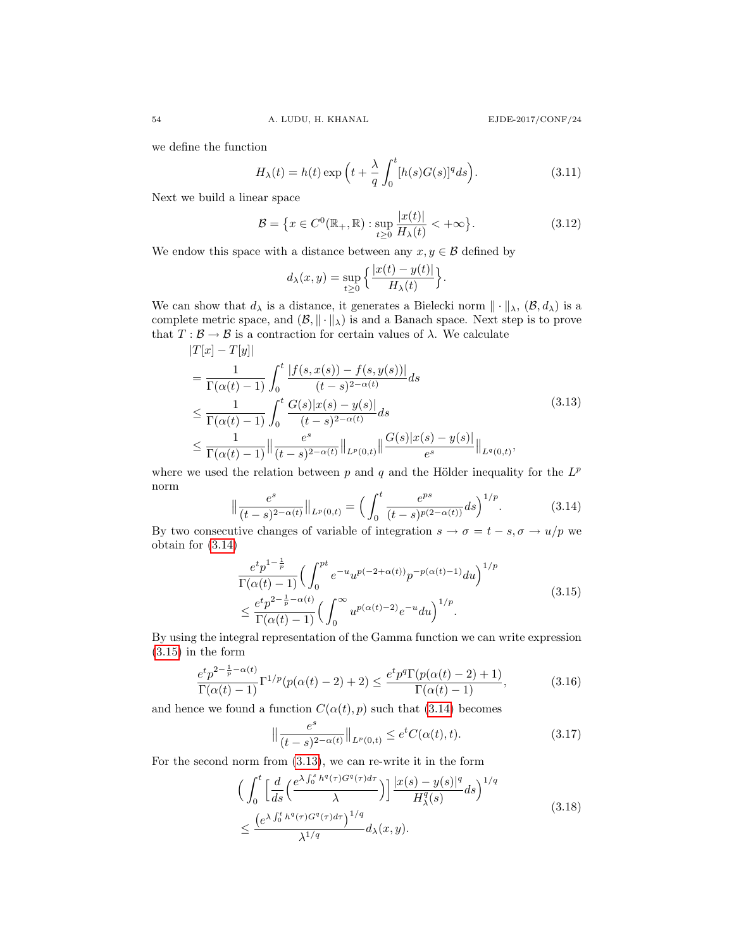we define the function

$$
H_{\lambda}(t) = h(t) \exp\left(t + \frac{\lambda}{q} \int_0^t [h(s)G(s)]^q ds\right).
$$
 (3.11)

Next we build a linear space

$$
\mathcal{B} = \left\{ x \in C^0(\mathbb{R}_+, \mathbb{R}) : \sup_{t \ge 0} \frac{|x(t)|}{H_\lambda(t)} < +\infty \right\}.
$$
 (3.12)

We endow this space with a distance between any  $x, y \in \mathcal{B}$  defined by

$$
d_{\lambda}(x,y) = \sup_{t \geq 0} \left\{ \frac{|x(t) - y(t)|}{H_{\lambda}(t)} \right\}.
$$

We can show that  $d_{\lambda}$  is a distance, it generates a Bielecki norm  $\|\cdot\|_{\lambda}$ ,  $(\mathcal{B}, d_{\lambda})$  is a complete metric space, and  $(\mathcal{B}, \|\cdot\|_{\lambda})$  is and a Banach space. Next step is to prove that  $T : \mathcal{B} \to \mathcal{B}$  is a contraction for certain values of  $\lambda$ . We calculate  $|T([x]) - T([x])|$ 

<span id="page-8-2"></span>
$$
|T[x] - T[y]|
$$
  
\n
$$
= \frac{1}{\Gamma(\alpha(t) - 1)} \int_0^t \frac{|f(s, x(s)) - f(s, y(s))|}{(t - s)^{2 - \alpha(t)}} ds
$$
  
\n
$$
\leq \frac{1}{\Gamma(\alpha(t) - 1)} \int_0^t \frac{G(s)|x(s) - y(s)|}{(t - s)^{2 - \alpha(t)}} ds
$$
  
\n
$$
\leq \frac{1}{\Gamma(\alpha(t) - 1)} || \frac{e^s}{(t - s)^{2 - \alpha(t)}} ||_{L^p(0,t)} || \frac{G(s)|x(s) - y(s)}{e^s} ||_{L^q(0,t)},
$$
\n(3.13)

where we used the relation between  $p$  and  $q$  and the Hölder inequality for the  $L^p$ norm

<span id="page-8-0"></span>
$$
\left\| \frac{e^s}{(t-s)^{2-\alpha(t)}} \right\|_{L^p(0,t)} = \left( \int_0^t \frac{e^{ps}}{(t-s)^{p(2-\alpha(t))}} ds \right)^{1/p}.
$$
 (3.14)

By two consecutive changes of variable of integration  $s \to \sigma = t - s, \sigma \to u/p$  we obtain for [\(3.14\)](#page-8-0)

<span id="page-8-1"></span>
$$
\frac{e^t p^{1-\frac{1}{p}}}{\Gamma(\alpha(t)-1)} \Big( \int_0^{pt} e^{-u} u^{p(-2+\alpha(t))} p^{-p(\alpha(t)-1)} du \Big)^{1/p}
$$
\n
$$
\leq \frac{e^t p^{2-\frac{1}{p}-\alpha(t)}}{\Gamma(\alpha(t)-1)} \Big( \int_0^{\infty} u^{p(\alpha(t)-2)} e^{-u} du \Big)^{1/p}.
$$
\n(3.15)

By using the integral representation of the Gamma function we can write expression [\(3.15\)](#page-8-1) in the form

$$
\frac{e^t p^{2-\frac{1}{p}-\alpha(t)}}{\Gamma(\alpha(t)-1)} \Gamma^{1/p}(p(\alpha(t)-2)+2) \le \frac{e^t p^q \Gamma(p(\alpha(t)-2)+1)}{\Gamma(\alpha(t)-1)},
$$
\n(3.16)

and hence we found a function  $C(\alpha(t), p)$  such that [\(3.14\)](#page-8-0) becomes

<span id="page-8-3"></span>
$$
\left\| \frac{e^s}{(t-s)^{2-\alpha(t)}} \right\|_{L^p(0,t)} \le e^t C(\alpha(t),t). \tag{3.17}
$$

For the second norm from [\(3.13\)](#page-8-2), we can re-write it in the form

<span id="page-8-4"></span>
$$
\begin{split}\n&\Big(\int_{0}^{t} \Big[\frac{d}{ds} \Big(\frac{e^{\lambda \int_{0}^{s} h^{q}(\tau)G^{q}(\tau)d\tau}}{\lambda}\Big)\Big] \frac{|x(s) - y(s)|^{q}}{H_{\lambda}^{q}(s)} ds\Big)^{1/q} \\
&\leq \frac{\Big(e^{\lambda \int_{0}^{t} h^{q}(\tau)G^{q}(\tau)d\tau}\Big)^{1/q}}{\lambda^{1/q}} d_{\lambda}(x, y).\n\end{split} \tag{3.18}
$$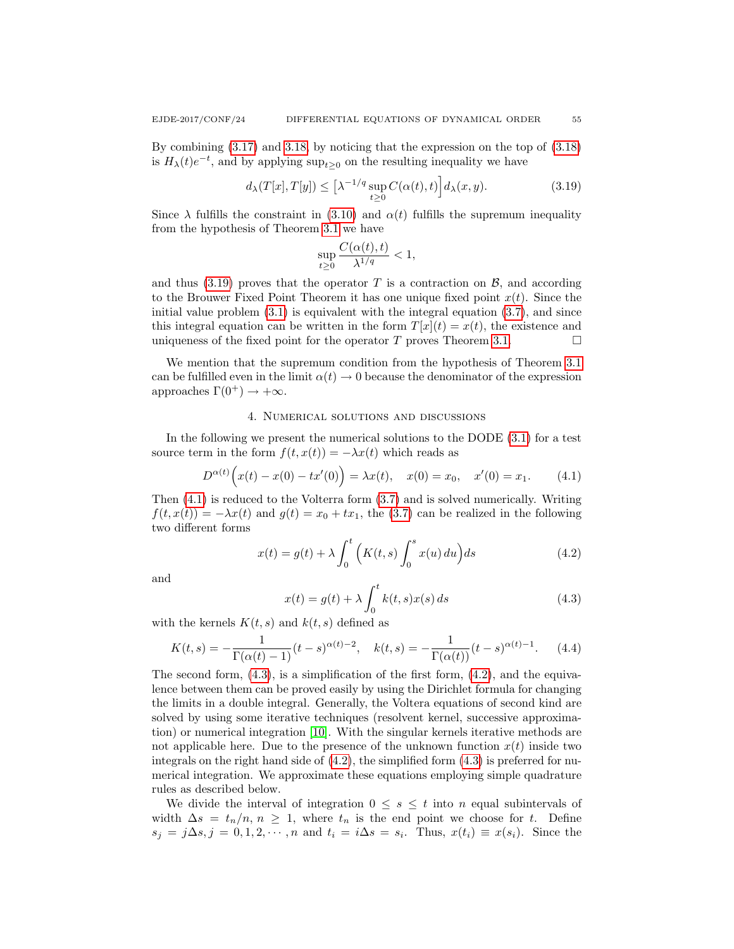By combining [\(3.17\)](#page-8-3) and [3.18,](#page-8-4) by noticing that the expression on the top of [\(3.18\)](#page-8-4)

is  $H_{\lambda}(t)e^{-t}$ , and by applying  $\sup_{t\geq 0}$  on the resulting inequality we have

<span id="page-9-0"></span>
$$
d_{\lambda}(T[x], T[y]) \leq \left[\lambda^{-1/q} \sup_{t \geq 0} C(\alpha(t), t)\right] d_{\lambda}(x, y). \tag{3.19}
$$

Since  $\lambda$  fulfills the constraint in [\(3.10\)](#page-7-1) and  $\alpha(t)$  fulfills the supremum inequality from the hypothesis of Theorem [3.1](#page-7-0) we have

$$
\sup_{t\geq 0}\frac{C(\alpha(t),t)}{\lambda^{1/q}}<1,
$$

and thus  $(3.19)$  proves that the operator T is a contraction on  $\beta$ , and according to the Brouwer Fixed Point Theorem it has one unique fixed point  $x(t)$ . Since the initial value problem  $(3.1)$  is equivalent with the integral equation  $(3.7)$ , and since this integral equation can be written in the form  $T[x](t) = x(t)$ , the existence and uniqueness of the fixed point for the operator T proves Theorem [3.1.](#page-7-0)  $\Box$ 

We mention that the supremum condition from the hypothesis of Theorem [3.1](#page-7-0) can be fulfilled even in the limit  $\alpha(t) \to 0$  because the denominator of the expression approaches  $\Gamma(0^+) \rightarrow +\infty$ .

#### 4. Numerical solutions and discussions

In the following we present the numerical solutions to the DODE [\(3.1\)](#page-5-0) for a test source term in the form  $f(t, x(t)) = -\lambda x(t)$  which reads as

<span id="page-9-1"></span>
$$
D^{\alpha(t)}\Big(x(t) - x(0) - tx'(0)\Big) = \lambda x(t), \quad x(0) = x_0, \quad x'(0) = x_1. \tag{4.1}
$$

Then [\(4.1\)](#page-9-1) is reduced to the Volterra form [\(3.7\)](#page-6-1) and is solved numerically. Writing  $f(t, x(t)) = -\lambda x(t)$  and  $g(t) = x_0 + tx_1$ , the [\(3.7\)](#page-6-1) can be realized in the following two different forms

<span id="page-9-3"></span>
$$
x(t) = g(t) + \lambda \int_0^t \left( K(t, s) \int_0^s x(u) du \right) ds \tag{4.2}
$$

and

<span id="page-9-2"></span>
$$
x(t) = g(t) + \lambda \int_0^t k(t, s) x(s) ds
$$
\n(4.3)

with the kernels  $K(t, s)$  and  $k(t, s)$  defined as

<span id="page-9-4"></span>
$$
K(t,s) = -\frac{1}{\Gamma(\alpha(t)-1)}(t-s)^{\alpha(t)-2}, \quad k(t,s) = -\frac{1}{\Gamma(\alpha(t))}(t-s)^{\alpha(t)-1}.
$$
 (4.4)

The second form, [\(4.3\)](#page-9-2), is a simplification of the first form, [\(4.2\)](#page-9-3), and the equivalence between them can be proved easily by using the Dirichlet formula for changing the limits in a double integral. Generally, the Voltera equations of second kind are solved by using some iterative techniques (resolvent kernel, successive approximation) or numerical integration [\[10\]](#page-15-15). With the singular kernels iterative methods are not applicable here. Due to the presence of the unknown function  $x(t)$  inside two integrals on the right hand side of  $(4.2)$ , the simplified form  $(4.3)$  is preferred for numerical integration. We approximate these equations employing simple quadrature rules as described below.

We divide the interval of integration  $0 \leq s \leq t$  into n equal subintervals of width  $\Delta s = t_n/n$ ,  $n \geq 1$ , where  $t_n$  is the end point we choose for t. Define  $s_j = j\Delta s, j = 0, 1, 2, \cdots, n$  and  $t_i = i\Delta s = s_i$ . Thus,  $x(t_i) \equiv x(s_i)$ . Since the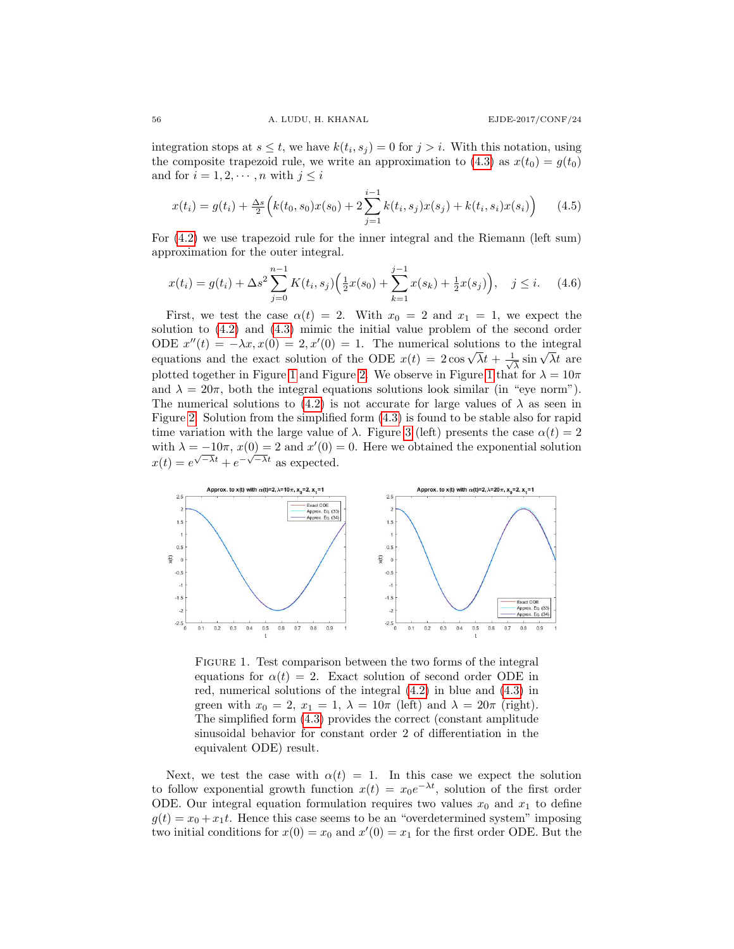integration stops at  $s \leq t$ , we have  $k(t_i, s_j) = 0$  for  $j > i$ . With this notation, using the composite trapezoid rule, we write an approximation to  $(4.3)$  as  $x(t_0) = g(t_0)$ and for  $i = 1, 2, \dots, n$  with  $j \leq i$ 

$$
x(t_i) = g(t_i) + \frac{\Delta s}{2} \Big( k(t_0, s_0) x(s_0) + 2 \sum_{j=1}^{i-1} k(t_i, s_j) x(s_j) + k(t_i, s_i) x(s_i) \Big) \tag{4.5}
$$

For [\(4.2\)](#page-9-3) we use trapezoid rule for the inner integral and the Riemann (left sum) approximation for the outer integral.

$$
x(t_i) = g(t_i) + \Delta s^2 \sum_{j=0}^{n-1} K(t_i, s_j) \left( \frac{1}{2} x(s_0) + \sum_{k=1}^{j-1} x(s_k) + \frac{1}{2} x(s_j) \right), \quad j \le i. \tag{4.6}
$$

First, we test the case  $\alpha(t) = 2$ . With  $x_0 = 2$  and  $x_1 = 1$ , we expect the solution to [\(4.2\)](#page-9-3) and [\(4.3\)](#page-9-2) mimic the initial value problem of the second order ODE  $x''(t) = -\lambda x, x(0) = 2, x'(0) = 1$ . The numerical solutions to the integral ODE  $x'(t) = -\lambda x, x(0) = 2, x'(0) = 1$ . The numerical solutions to equations and the exact solution of the ODE  $x(t) = 2\cos\sqrt{\lambda}t + \frac{1}{\lambda}$  $\frac{1}{\sqrt{\lambda}}$  sin  $\sqrt{\lambda}t$  are plotted together in Figure [1](#page-10-0) and Figure [2.](#page-11-0) We observe in Figure 1 that for  $\lambda = 10\pi$ and  $\lambda = 20\pi$ , both the integral equations solutions look similar (in "eye norm"). The numerical solutions to [\(4.2\)](#page-9-3) is not accurate for large values of  $\lambda$  as seen in Figure [2.](#page-11-0) Solution from the simplified form [\(4.3\)](#page-9-2) is found to be stable also for rapid time variation with the large value of  $\lambda$ . Figure [3](#page-11-1) (left) presents the case  $\alpha(t) = 2$ with  $\lambda = -10\pi$ ,  $x(0) = 2$  and  $x'(0) = 0$ . Here we obtained the exponential solution  $x(t) = e^{\sqrt{-\lambda}t} + e^{-\sqrt{-\lambda}t}$  as expected.



<span id="page-10-0"></span>FIGURE 1. Test comparison between the two forms of the integral equations for  $\alpha(t) = 2$ . Exact solution of second order ODE in red, numerical solutions of the integral [\(4.2\)](#page-9-3) in blue and [\(4.3\)](#page-9-2) in green with  $x_0 = 2$ ,  $x_1 = 1$ ,  $\lambda = 10\pi$  (left) and  $\lambda = 20\pi$  (right). The simplified form [\(4.3\)](#page-9-2) provides the correct (constant amplitude sinusoidal behavior for constant order 2 of differentiation in the equivalent ODE) result.

Next, we test the case with  $\alpha(t) = 1$ . In this case we expect the solution to follow exponential growth function  $x(t) = x_0 e^{-\lambda t}$ , solution of the first order ODE. Our integral equation formulation requires two values  $x_0$  and  $x_1$  to define  $g(t) = x_0 + x_1 t$ . Hence this case seems to be an "overdetermined system" imposing two initial conditions for  $x(0) = x_0$  and  $x'(0) = x_1$  for the first order ODE. But the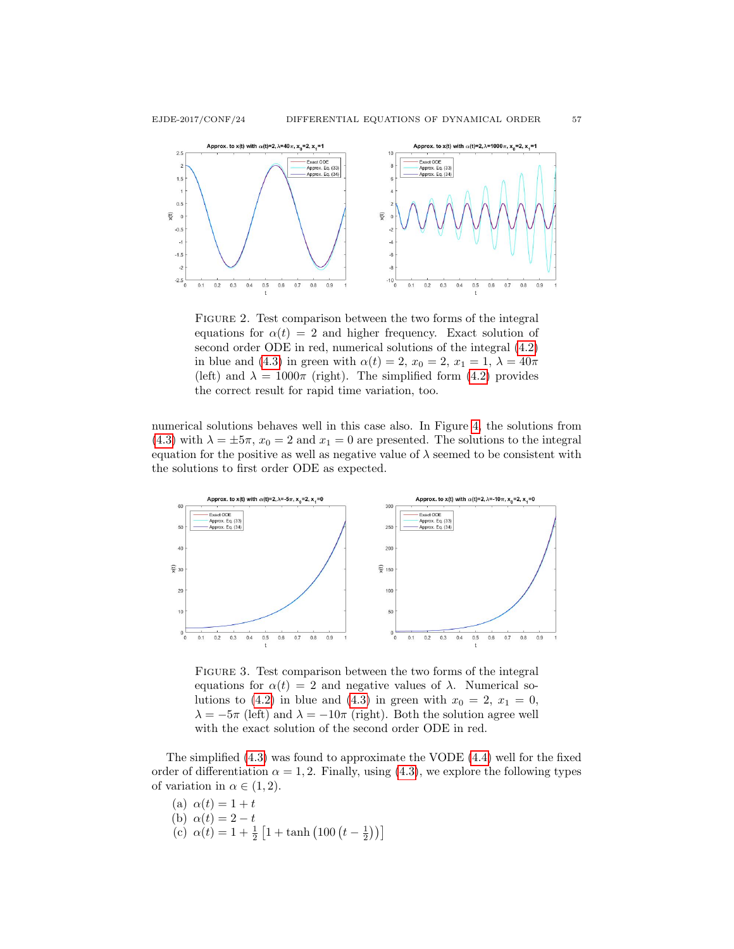

<span id="page-11-0"></span>FIGURE 2. Test comparison between the two forms of the integral equations for  $\alpha(t) = 2$  and higher frequency. Exact solution of second order ODE in red, numerical solutions of the integral [\(4.2\)](#page-9-3) in blue and [\(4.3\)](#page-9-2) in green with  $\alpha(t) = 2$ ,  $x_0 = 2$ ,  $x_1 = 1$ ,  $\lambda = 40\pi$ (left) and  $\lambda = 1000\pi$  (right). The simplified form [\(4.2\)](#page-9-3) provides the correct result for rapid time variation, too.

numerical solutions behaves well in this case also. In Figure [4,](#page-12-0) the solutions from [\(4.3\)](#page-9-2) with  $\lambda = \pm 5\pi$ ,  $x_0 = 2$  and  $x_1 = 0$  are presented. The solutions to the integral equation for the positive as well as negative value of  $\lambda$  seemed to be consistent with the solutions to first order ODE as expected.



<span id="page-11-1"></span>FIGURE 3. Test comparison between the two forms of the integral equations for  $\alpha(t) = 2$  and negative values of  $\lambda$ . Numerical so-lutions to [\(4.2\)](#page-9-3) in blue and [\(4.3\)](#page-9-2) in green with  $x_0 = 2, x_1 = 0$ ,  $\lambda = -5\pi$  (left) and  $\lambda = -10\pi$  (right). Both the solution agree well with the exact solution of the second order ODE in red.

The simplified [\(4.3\)](#page-9-2) was found to approximate the VODE [\(4.4\)](#page-9-4) well for the fixed order of differentiation  $\alpha = 1, 2$ . Finally, using [\(4.3\)](#page-9-2), we explore the following types of variation in  $\alpha \in (1, 2)$ .

(a)  $\alpha(t) = 1 + t$ (b)  $\alpha(t) = 2 - t$ (c)  $\alpha(t) = 1 + \frac{1}{2} \left[ 1 + \tanh \left( 100 \left( t - \frac{1}{2} \right) \right) \right]$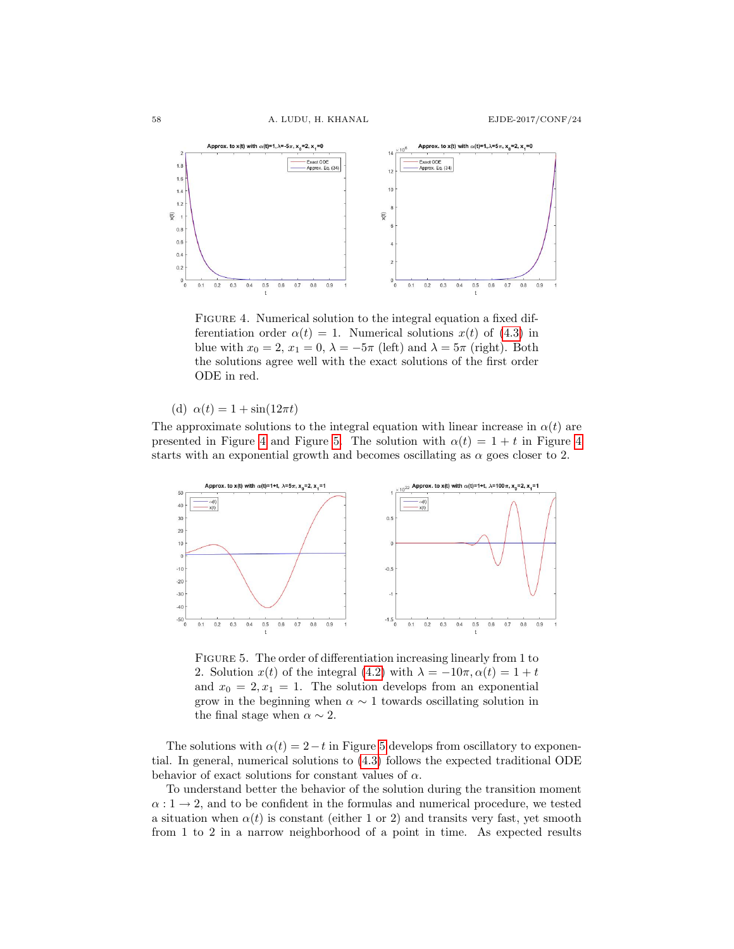

<span id="page-12-0"></span>FIGURE 4. Numerical solution to the integral equation a fixed differentiation order  $\alpha(t) = 1$ . Numerical solutions  $x(t)$  of [\(4.3\)](#page-9-2) in blue with  $x_0 = 2$ ,  $x_1 = 0$ ,  $\lambda = -5\pi$  (left) and  $\lambda = 5\pi$  (right). Both the solutions agree well with the exact solutions of the first order ODE in red.

(d)  $\alpha(t) = 1 + \sin(12\pi t)$ 

The approximate solutions to the integral equation with linear increase in  $\alpha(t)$  are presented in Figure [4](#page-12-0) and Figure [5.](#page-12-1) The solution with  $\alpha(t) = 1 + t$  in Figure 4 starts with an exponential growth and becomes oscillating as  $\alpha$  goes closer to 2.



<span id="page-12-1"></span>FIGURE 5. The order of differentiation increasing linearly from 1 to 2. Solution  $x(t)$  of the integral [\(4.2\)](#page-9-3) with  $\lambda = -10\pi, \alpha(t) = 1 + t$ and  $x_0 = 2, x_1 = 1$ . The solution develops from an exponential grow in the beginning when  $\alpha \sim 1$  towards oscillating solution in the final stage when  $\alpha \sim 2$ .

The solutions with  $\alpha(t) = 2-t$  in Figure [5](#page-12-1) develops from oscillatory to exponential. In general, numerical solutions to [\(4.3\)](#page-9-2) follows the expected traditional ODE behavior of exact solutions for constant values of  $\alpha$ .

To understand better the behavior of the solution during the transition moment  $\alpha: 1 \to 2$ , and to be confident in the formulas and numerical procedure, we tested a situation when  $\alpha(t)$  is constant (either 1 or 2) and transits very fast, yet smooth from 1 to 2 in a narrow neighborhood of a point in time. As expected results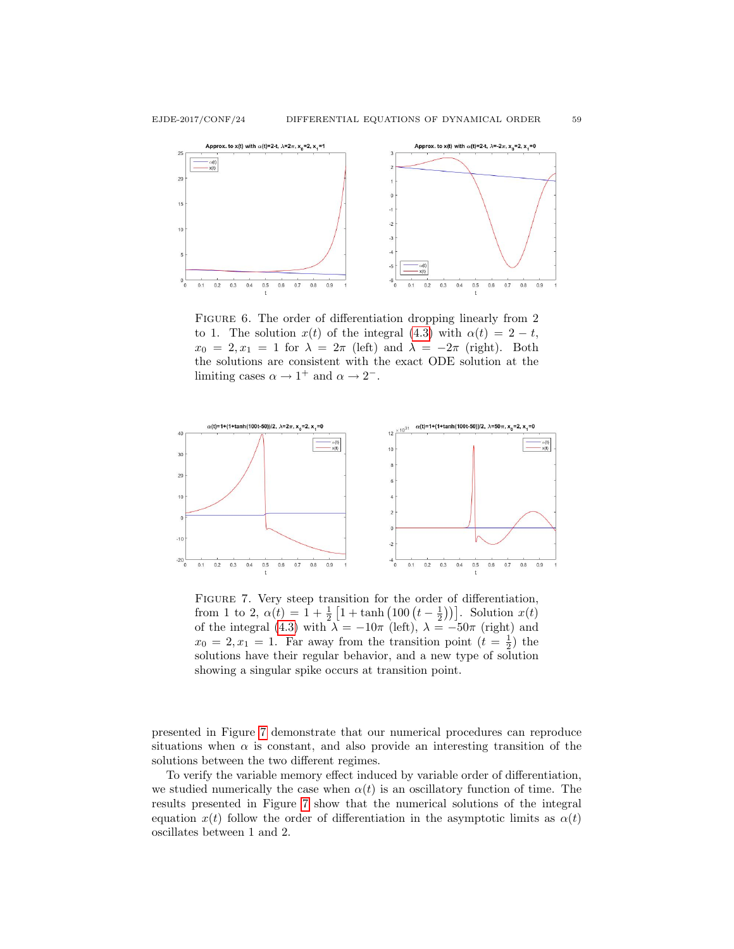

FIGURE 6. The order of differentiation dropping linearly from 2 to 1. The solution  $x(t)$  of the integral [\(4.3\)](#page-9-2) with  $\alpha(t) = 2 - t$ ,  $x_0 = 2, x_1 = 1$  for  $\lambda = 2\pi$  (left) and  $\lambda = -2\pi$  (right). Both the solutions are consistent with the exact ODE solution at the limiting cases  $\alpha \to 1^+$  and  $\alpha \to 2^-$ .



<span id="page-13-0"></span>FIGURE 7. Very steep transition for the order of differentiation, from 1 to 2,  $\alpha(t) = 1 + \frac{1}{2} \left[ 1 + \tanh \left( 100 \left( t - \frac{1}{2} \right) \right) \right]$ . Solution  $x(t)$ of the integral [\(4.3\)](#page-9-2) with  $\lambda = -10\pi$  (left),  $\lambda = -50\pi$  (right) and  $x_0 = 2, x_1 = 1$ . Far away from the transition point  $(t = \frac{1}{2})$  the solutions have their regular behavior, and a new type of solution showing a singular spike occurs at transition point.

presented in Figure [7](#page-13-0) demonstrate that our numerical procedures can reproduce situations when  $\alpha$  is constant, and also provide an interesting transition of the solutions between the two different regimes.

To verify the variable memory effect induced by variable order of differentiation, we studied numerically the case when  $\alpha(t)$  is an oscillatory function of time. The results presented in Figure [7](#page-13-0) show that the numerical solutions of the integral equation  $x(t)$  follow the order of differentiation in the asymptotic limits as  $\alpha(t)$ oscillates between 1 and 2.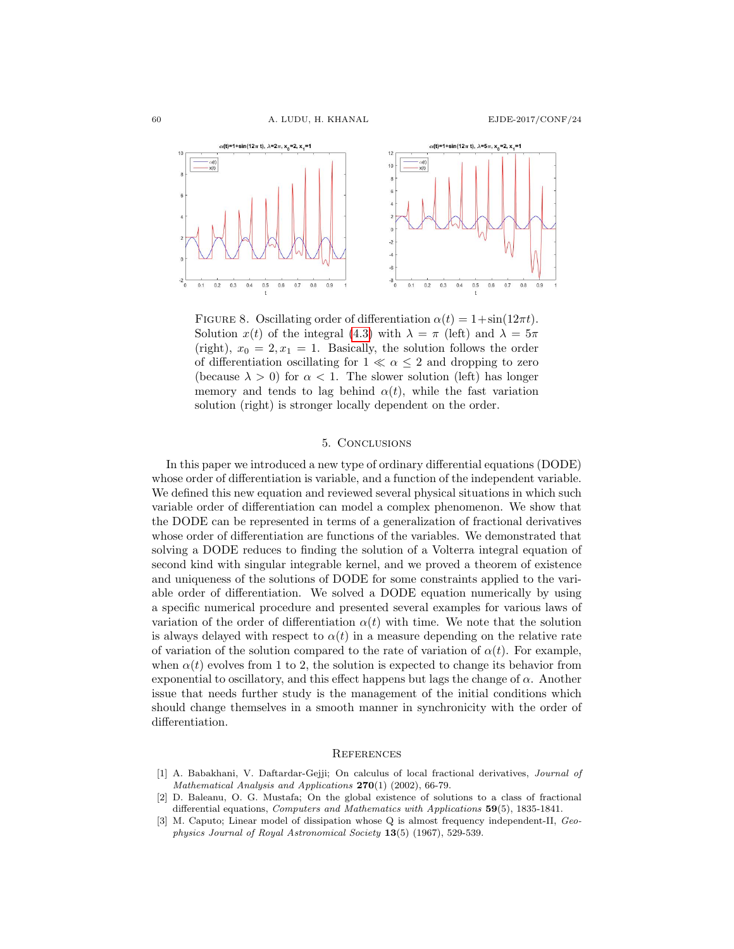

FIGURE 8. Oscillating order of differentiation  $\alpha(t) = 1 + \sin(12\pi t)$ . Solution  $x(t)$  of the integral [\(4.3\)](#page-9-2) with  $\lambda = \pi$  (left) and  $\lambda = 5\pi$ (right),  $x_0 = 2, x_1 = 1$ . Basically, the solution follows the order of differentiation oscillating for  $1 \ll \alpha \leq 2$  and dropping to zero (because  $\lambda > 0$ ) for  $\alpha < 1$ . The slower solution (left) has longer memory and tends to lag behind  $\alpha(t)$ , while the fast variation solution (right) is stronger locally dependent on the order.

### 5. Conclusions

In this paper we introduced a new type of ordinary differential equations (DODE) whose order of differentiation is variable, and a function of the independent variable. We defined this new equation and reviewed several physical situations in which such variable order of differentiation can model a complex phenomenon. We show that the DODE can be represented in terms of a generalization of fractional derivatives whose order of differentiation are functions of the variables. We demonstrated that solving a DODE reduces to finding the solution of a Volterra integral equation of second kind with singular integrable kernel, and we proved a theorem of existence and uniqueness of the solutions of DODE for some constraints applied to the variable order of differentiation. We solved a DODE equation numerically by using a specific numerical procedure and presented several examples for various laws of variation of the order of differentiation  $\alpha(t)$  with time. We note that the solution is always delayed with respect to  $\alpha(t)$  in a measure depending on the relative rate of variation of the solution compared to the rate of variation of  $\alpha(t)$ . For example, when  $\alpha(t)$  evolves from 1 to 2, the solution is expected to change its behavior from exponential to oscillatory, and this effect happens but lags the change of  $\alpha$ . Another issue that needs further study is the management of the initial conditions which should change themselves in a smooth manner in synchronicity with the order of differentiation.

#### **REFERENCES**

- <span id="page-14-1"></span>[1] A. Babakhani, V. Daftardar-Gejji; On calculus of local fractional derivatives, Journal of Mathematical Analysis and Applications  $270(1)$  (2002), 66-79.
- <span id="page-14-2"></span>[2] D. Baleanu, O. G. Mustafa; On the global existence of solutions to a class of fractional differential equations, Computers and Mathematics with Applications 59(5), 1835-1841.
- <span id="page-14-0"></span>[3] M. Caputo; Linear model of dissipation whose Q is almost frequency independent-II, Geophysics Journal of Royal Astronomical Society 13(5) (1967), 529-539.